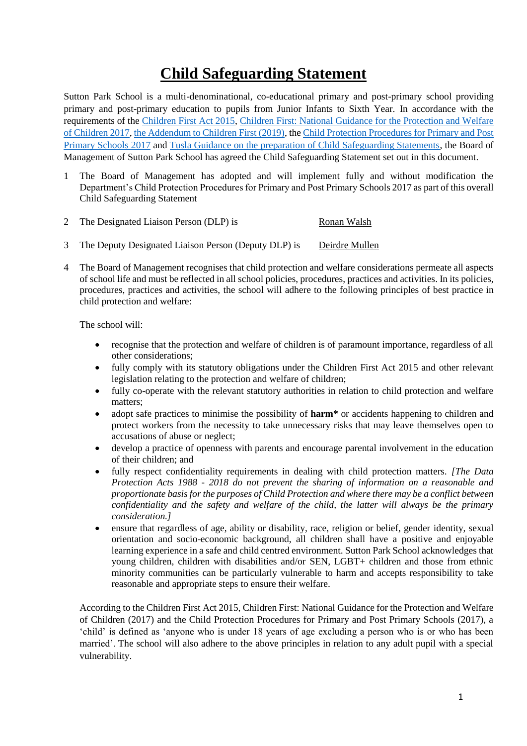# **Child Safeguarding Statement**

Sutton Park School is a multi-denominational, co-educational primary and post-primary school providing primary and post-primary education to pupils from Junior Infants to Sixth Year. In accordance with the requirements of the [Children First Act 2015,](http://www.irishstatutebook.ie/eli/2015/act/36/enacted/en/pdf) [Children First: National Guidance for the Protection and Welfare](https://assets.gov.ie/25844/b90aafa55804462f84d05f87f0ca2bf6.pdf)  [of Children 2017,](https://assets.gov.ie/25844/b90aafa55804462f84d05f87f0ca2bf6.pdf) [the Addendum to Children First \(2019\),](https://assets.gov.ie/25819/c9744b64dfd6447985eeffa5c0d71bbb.pdf) th[e Child Protection Procedures for Primary and Post](https://www.gov.ie/pdf/?file=https://assets.gov.ie/45063/2d4b5b3d781e4ec1ab4f3e5d198717d9.pdf#page=1)  [Primary Schools 2017](https://www.gov.ie/pdf/?file=https://assets.gov.ie/45063/2d4b5b3d781e4ec1ab4f3e5d198717d9.pdf#page=1) and [Tusla Guidance on the preparation of Child Safeguarding Statements,](https://www.tusla.ie/uploads/content/4214-TUSLA_Guidance_on_Developing_a_CSS_LR.PDF) the Board of Management of Sutton Park School has agreed the Child Safeguarding Statement set out in this document.

- 1 The Board of Management has adopted and will implement fully and without modification the Department's Child Protection Procedures for Primary and Post Primary Schools 2017 as part of this overall Child Safeguarding Statement
- 2 The Designated Liaison Person (DLP) is Ronan Walsh
- 3 The Deputy Designated Liaison Person (Deputy DLP) is Deirdre Mullen
- 4 The Board of Management recognises that child protection and welfare considerations permeate all aspects of school life and must be reflected in all school policies, procedures, practices and activities. In its policies, procedures, practices and activities, the school will adhere to the following principles of best practice in child protection and welfare:

The school will:

- recognise that the protection and welfare of children is of paramount importance, regardless of all other considerations;
- fully comply with its statutory obligations under the Children First Act 2015 and other relevant legislation relating to the protection and welfare of children;
- fully co-operate with the relevant statutory authorities in relation to child protection and welfare matters;
- adopt safe practices to minimise the possibility of **harm**<sup>\*</sup> or accidents happening to children and protect workers from the necessity to take unnecessary risks that may leave themselves open to accusations of abuse or neglect;
- develop a practice of openness with parents and encourage parental involvement in the education of their children; and
- fully respect confidentiality requirements in dealing with child protection matters. *[The Data Protection Acts 1988 - 2018 do not prevent the sharing of information on a reasonable and proportionate basis for the purposes of Child Protection and where there may be a conflict between confidentiality and the safety and welfare of the child, the latter will always be the primary consideration.]*
- ensure that regardless of age, ability or disability, race, religion or belief, gender identity, sexual orientation and socio-economic background, all children shall have a positive and enjoyable learning experience in a safe and child centred environment. Sutton Park School acknowledges that young children, children with disabilities and/or SEN, LGBT+ children and those from ethnic minority communities can be particularly vulnerable to harm and accepts responsibility to take reasonable and appropriate steps to ensure their welfare.

According to the Children First Act 2015, Children First: National Guidance for the Protection and Welfare of Children (2017) and the Child Protection Procedures for Primary and Post Primary Schools (2017), a 'child' is defined as 'anyone who is under 18 years of age excluding a person who is or who has been married'. The school will also adhere to the above principles in relation to any adult pupil with a special vulnerability.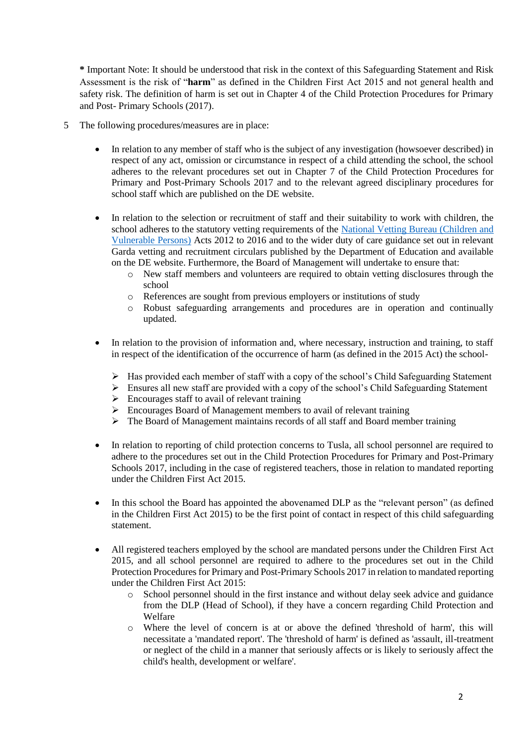**\*** Important Note: It should be understood that risk in the context of this Safeguarding Statement and Risk Assessment is the risk of "**harm**" as defined in the Children First Act 2015 and not general health and safety risk. The definition of harm is set out in Chapter 4 of the Child Protection Procedures for Primary and Post- Primary Schools (2017).

- 5 The following procedures/measures are in place:
	- In relation to any member of staff who is the subject of any investigation (howsoever described) in respect of any act, omission or circumstance in respect of a child attending the school, the school adheres to the relevant procedures set out in Chapter 7 of the Child Protection Procedures for Primary and Post-Primary Schools 2017 and to the relevant agreed disciplinary procedures for school staff which are published on the DE website.
	- In relation to the selection or recruitment of staff and their suitability to work with children, the school adheres to the statutory vetting requirements of the [National Vetting Bureau \(Children and](https://revisedacts.lawreform.ie/eli/2012/act/47/revised/en/pdf)  [Vulnerable Persons\)](https://revisedacts.lawreform.ie/eli/2012/act/47/revised/en/pdf) Acts 2012 to 2016 and to the wider duty of care guidance set out in relevant Garda vetting and recruitment circulars published by the Department of Education and available on the DE website. Furthermore, the Board of Management will undertake to ensure that:
		- o New staff members and volunteers are required to obtain vetting disclosures through the school
		- o References are sought from previous employers or institutions of study
		- o Robust safeguarding arrangements and procedures are in operation and continually updated.
	- In relation to the provision of information and, where necessary, instruction and training, to staff in respect of the identification of the occurrence of harm (as defined in the 2015 Act) the school-
		- ➢ Has provided each member of staff with a copy of the school's Child Safeguarding Statement
		- ➢ Ensures all new staff are provided with a copy of the school's Child Safeguarding Statement
		- $\triangleright$  Encourages staff to avail of relevant training
		- ➢ Encourages Board of Management members to avail of relevant training
		- ➢ The Board of Management maintains records of all staff and Board member training
	- In relation to reporting of child protection concerns to Tusla, all school personnel are required to adhere to the procedures set out in the Child Protection Procedures for Primary and Post-Primary Schools 2017, including in the case of registered teachers, those in relation to mandated reporting under the Children First Act 2015.
	- In this school the Board has appointed the abovenamed DLP as the "relevant person" (as defined in the Children First Act 2015) to be the first point of contact in respect of this child safeguarding statement.
	- All registered teachers employed by the school are mandated persons under the Children First Act 2015, and all school personnel are required to adhere to the procedures set out in the Child Protection Procedures for Primary and Post-Primary Schools 2017 in relation to mandated reporting under the Children First Act 2015:
		- o School personnel should in the first instance and without delay seek advice and guidance from the DLP (Head of School), if they have a concern regarding Child Protection and Welfare
		- o Where the level of concern is at or above the defined 'threshold of harm', this will necessitate a 'mandated report'. The 'threshold of harm' is defined as 'assault, ill-treatment or neglect of the child in a manner that seriously affects or is likely to seriously affect the child's health, development or welfare'.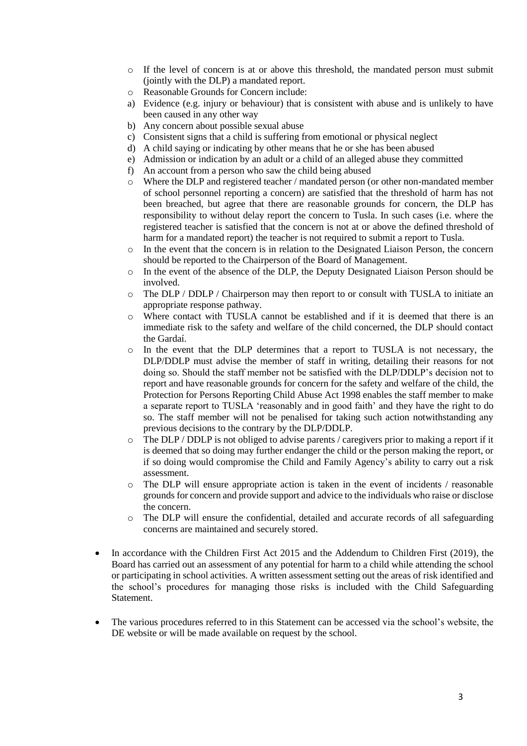- o If the level of concern is at or above this threshold, the mandated person must submit (jointly with the DLP) a mandated report.
- o Reasonable Grounds for Concern include:
- a) Evidence (e.g. injury or behaviour) that is consistent with abuse and is unlikely to have been caused in any other way
- b) Any concern about possible sexual abuse
- c) Consistent signs that a child is suffering from emotional or physical neglect
- d) A child saying or indicating by other means that he or she has been abused
- e) Admission or indication by an adult or a child of an alleged abuse they committed
- f) An account from a person who saw the child being abused
- o Where the DLP and registered teacher / mandated person (or other non-mandated member of school personnel reporting a concern) are satisfied that the threshold of harm has not been breached, but agree that there are reasonable grounds for concern, the DLP has responsibility to without delay report the concern to Tusla. In such cases (i.e. where the registered teacher is satisfied that the concern is not at or above the defined threshold of harm for a mandated report) the teacher is not required to submit a report to Tusla.
- o In the event that the concern is in relation to the Designated Liaison Person, the concern should be reported to the Chairperson of the Board of Management.
- o In the event of the absence of the DLP, the Deputy Designated Liaison Person should be involved.
- o The DLP / DDLP / Chairperson may then report to or consult with TUSLA to initiate an appropriate response pathway.
- o Where contact with TUSLA cannot be established and if it is deemed that there is an immediate risk to the safety and welfare of the child concerned, the DLP should contact the Gardaí.
- o In the event that the DLP determines that a report to TUSLA is not necessary, the DLP/DDLP must advise the member of staff in writing, detailing their reasons for not doing so. Should the staff member not be satisfied with the DLP/DDLP's decision not to report and have reasonable grounds for concern for the safety and welfare of the child, the Protection for Persons Reporting Child Abuse Act 1998 enables the staff member to make a separate report to TUSLA 'reasonably and in good faith' and they have the right to do so. The staff member will not be penalised for taking such action notwithstanding any previous decisions to the contrary by the DLP/DDLP.
- o The DLP / DDLP is not obliged to advise parents / caregivers prior to making a report if it is deemed that so doing may further endanger the child or the person making the report, or if so doing would compromise the Child and Family Agency's ability to carry out a risk assessment.
- o The DLP will ensure appropriate action is taken in the event of incidents / reasonable grounds for concern and provide support and advice to the individuals who raise or disclose the concern.
- o The DLP will ensure the confidential, detailed and accurate records of all safeguarding concerns are maintained and securely stored.
- In accordance with the Children First Act 2015 and the Addendum to Children First (2019), the Board has carried out an assessment of any potential for harm to a child while attending the school or participating in school activities. A written assessment setting out the areas of risk identified and the school's procedures for managing those risks is included with the Child Safeguarding **Statement**
- The various procedures referred to in this Statement can be accessed via the school's website, the DE website or will be made available on request by the school.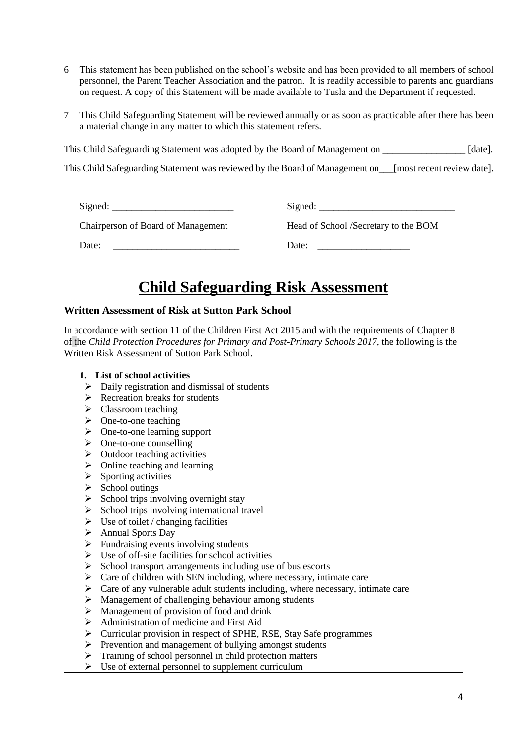- 6 This statement has been published on the school's website and has been provided to all members of school personnel, the Parent Teacher Association and the patron. It is readily accessible to parents and guardians on request. A copy of this Statement will be made available to Tusla and the Department if requested.
- 7 This Child Safeguarding Statement will be reviewed annually or as soon as practicable after there has been a material change in any matter to which this statement refers.

This Child Safeguarding Statement was adopted by the Board of Management on \_\_\_\_\_\_\_\_\_\_\_\_\_\_\_\_\_\_\_\_\_\_\_ [date].

This Child Safeguarding Statement was reviewed by the Board of Management on\_\_\_[most recent review date].

| $Sigma$ :                                 | Signed:                              |
|-------------------------------------------|--------------------------------------|
| <b>Chairperson of Board of Management</b> | Head of School /Secretary to the BOM |
| Date:                                     | Date:                                |

## **Child Safeguarding Risk Assessment**

#### **Written Assessment of Risk at Sutton Park School**

In accordance with section 11 of the Children First Act 2015 and with the requirements of Chapter 8 of the *Child Protection Procedures for Primary and Post-Primary Schools 2017*, the following is the Written Risk Assessment of Sutton Park School.

#### **1. List of school activities**

- $\triangleright$  Daily registration and dismissal of students
- $\triangleright$  Recreation breaks for students
- ➢ Classroom teaching
- ➢ One-to-one teaching
- ➢ One-to-one learning support
- $\triangleright$  One-to-one counselling
- $\triangleright$  Outdoor teaching activities
- $\triangleright$  Online teaching and learning
- $\triangleright$  Sporting activities
- ➢ School outings
- $\triangleright$  School trips involving overnight stay
- $\triangleright$  School trips involving international travel
- $\triangleright$  Use of toilet / changing facilities
- ➢ Annual Sports Day
- $\triangleright$  Fundraising events involving students
- $\triangleright$  Use of off-site facilities for school activities
- ➢ School transport arrangements including use of bus escorts
- $\triangleright$  Care of children with SEN including, where necessary, intimate care
- $\triangleright$  Care of any vulnerable adult students including, where necessary, intimate care
- ➢ Management of challenging behaviour among students
- ➢ Management of provision of food and drink
- ➢ Administration of medicine and First Aid
- ➢ Curricular provision in respect of SPHE, RSE, Stay Safe programmes
- ➢ Prevention and management of bullying amongst students
- $\triangleright$  Training of school personnel in child protection matters
- $\triangleright$  Use of external personnel to supplement curriculum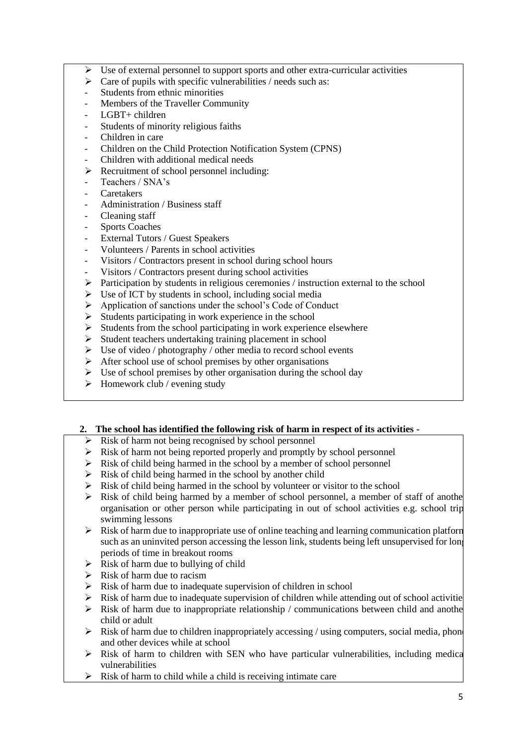- $\triangleright$  Use of external personnel to support sports and other extra-curricular activities
- $\triangleright$  Care of pupils with specific vulnerabilities / needs such as:
- Students from ethnic minorities
- Members of the Traveller Community
- LGBT+ children
- Students of minority religious faiths
- Children in care
- Children on the Child Protection Notification System (CPNS)
- Children with additional medical needs
- ➢ Recruitment of school personnel including:
- Teachers / SNA's
- Caretakers
- Administration / Business staff
- Cleaning staff
- Sports Coaches
- External Tutors / Guest Speakers
- Volunteers / Parents in school activities
- Visitors / Contractors present in school during school hours
- Visitors / Contractors present during school activities
- $\triangleright$  Participation by students in religious ceremonies / instruction external to the school
- ➢ Use of ICT by students in school, including social media
- ➢ Application of sanctions under the school's Code of Conduct
- $\triangleright$  Students participating in work experience in the school
- Students from the school participating in work experience elsewhere
- ➢ Student teachers undertaking training placement in school
- $\triangleright$  Use of video / photography / other media to record school events
- $\triangleright$  After school use of school premises by other organisations
- $\triangleright$  Use of school premises by other organisation during the school day
- $\triangleright$  Homework club / evening study

## **2. The school has identified the following risk of harm in respect of its activities -**

- ➢ Risk of harm not being recognised by school personnel
- $\triangleright$  Risk of harm not being reported properly and promptly by school personnel
- $\triangleright$  Risk of child being harmed in the school by a member of school personnel
- $\triangleright$  Risk of child being harmed in the school by another child
- ➢ Risk of child being harmed in the school by volunteer or visitor to the school
- $\triangleright$  Risk of child being harmed by a member of school personnel, a member of staff of another organisation or other person while participating in out of school activities e.g. school trip swimming lessons
- $\triangleright$  Risk of harm due to inappropriate use of online teaching and learning communication platform such as an uninvited person accessing the lesson link, students being left unsupervised for long periods of time in breakout rooms
- $\triangleright$  Risk of harm due to bullying of child
- $\triangleright$  Risk of harm due to racism
- $\triangleright$  Risk of harm due to inadequate supervision of children in school
- $\triangleright$  Risk of harm due to inadequate supervision of children while attending out of school activities
- $\triangleright$  Risk of harm due to inappropriate relationship / communications between child and another child or adult
- $\triangleright$  Risk of harm due to children inappropriately accessing / using computers, social media, phone and other devices while at school
- $\triangleright$  Risk of harm to children with SEN who have particular vulnerabilities, including medical vulnerabilities
- $\triangleright$  Risk of harm to child while a child is receiving intimate care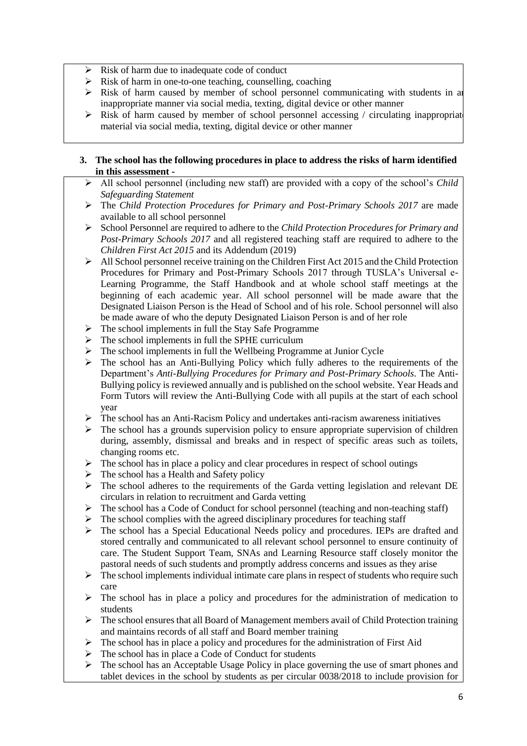- $\triangleright$  Risk of harm due to inadequate code of conduct
- $\triangleright$  Risk of harm in one-to-one teaching, counselling, coaching
- $\triangleright$  Risk of harm caused by member of school personnel communicating with students in an inappropriate manner via social media, texting, digital device or other manner
- $\triangleright$  Risk of harm caused by member of school personnel accessing / circulating inappropriate material via social media, texting, digital device or other manner

### **3. The school has the following procedures in place to address the risks of harm identified in this assessment -**

- ➢ All school personnel (including new staff) are provided with a copy of the school's *Child Safeguarding Statement*
- ➢ The *Child Protection Procedures for Primary and Post-Primary Schools 2017* are made available to all school personnel
- ➢ School Personnel are required to adhere to the *Child Protection Procedures for Primary and Post-Primary Schools 2017* and all registered teaching staff are required to adhere to the *Children First Act 2015* and its Addendum (2019)
- ➢ All School personnel receive training on the Children First Act 2015 and the Child Protection Procedures for Primary and Post-Primary Schools 2017 through TUSLA's Universal e-Learning Programme, the Staff Handbook and at whole school staff meetings at the beginning of each academic year. All school personnel will be made aware that the Designated Liaison Person is the Head of School and of his role. School personnel will also be made aware of who the deputy Designated Liaison Person is and of her role
- ➢ The school implements in full the Stay Safe Programme
- ➢ The school implements in full the SPHE curriculum
- ➢ The school implements in full the Wellbeing Programme at Junior Cycle
- $\triangleright$  The school has an Anti-Bullying Policy which fully adheres to the requirements of the Department's *Anti-Bullying Procedures for Primary and Post-Primary Schools.* The Anti-Bullying policy is reviewed annually and is published on the school website. Year Heads and Form Tutors will review the Anti-Bullying Code with all pupils at the start of each school year
- $\triangleright$  The school has an Anti-Racism Policy and undertakes anti-racism awareness initiatives
- ➢ The school has a grounds supervision policy to ensure appropriate supervision of children during, assembly, dismissal and breaks and in respect of specific areas such as toilets, changing rooms etc.
- $\triangleright$  The school has in place a policy and clear procedures in respect of school outings
- ➢ The school has a Health and Safety policy
- ➢ The school adheres to the requirements of the Garda vetting legislation and relevant DE circulars in relation to recruitment and Garda vetting
- ➢ The school has a Code of Conduct for school personnel (teaching and non-teaching staff)
- $\triangleright$  The school complies with the agreed disciplinary procedures for teaching staff
- ➢ The school has a Special Educational Needs policy and procedures. IEPs are drafted and stored centrally and communicated to all relevant school personnel to ensure continuity of care. The Student Support Team, SNAs and Learning Resource staff closely monitor the pastoral needs of such students and promptly address concerns and issues as they arise
- $\triangleright$  The school implements individual intimate care plans in respect of students who require such care
- ➢ The school has in place a policy and procedures for the administration of medication to students
- $\triangleright$  The school ensures that all Board of Management members avail of Child Protection training and maintains records of all staff and Board member training
- $\triangleright$  The school has in place a policy and procedures for the administration of First Aid
- ➢ The school has in place a Code of Conduct for students
- $\triangleright$  The school has an Acceptable Usage Policy in place governing the use of smart phones and tablet devices in the school by students as per circular 0038/2018 to include provision for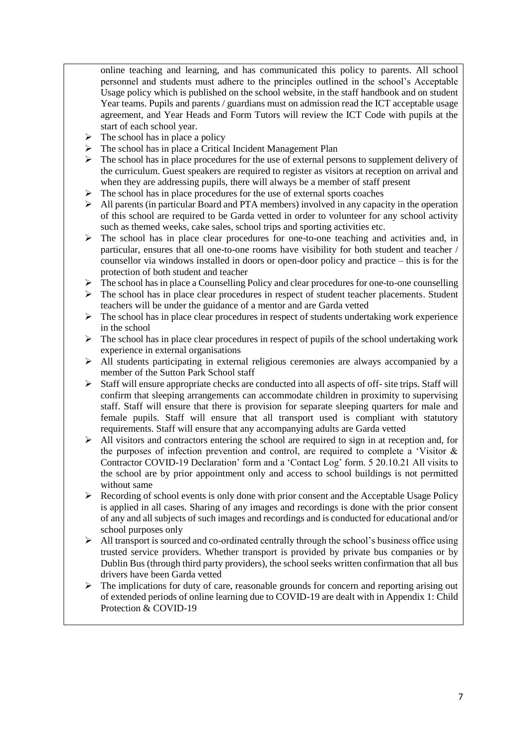online teaching and learning, and has communicated this policy to parents. All school personnel and students must adhere to the principles outlined in the school's Acceptable Usage policy which is published on the school website, in the staff handbook and on student Year teams. Pupils and parents / guardians must on admission read the ICT acceptable usage agreement, and Year Heads and Form Tutors will review the ICT Code with pupils at the start of each school year.

- $\triangleright$  The school has in place a policy
- ➢ The school has in place a Critical Incident Management Plan
- $\triangleright$  The school has in place procedures for the use of external persons to supplement delivery of the curriculum. Guest speakers are required to register as visitors at reception on arrival and when they are addressing pupils, there will always be a member of staff present
- $\triangleright$  The school has in place procedures for the use of external sports coaches
- ➢ All parents (in particular Board and PTA members) involved in any capacity in the operation of this school are required to be Garda vetted in order to volunteer for any school activity such as themed weeks, cake sales, school trips and sporting activities etc.
- $\triangleright$  The school has in place clear procedures for one-to-one teaching and activities and, in particular, ensures that all one-to-one rooms have visibility for both student and teacher / counsellor via windows installed in doors or open-door policy and practice – this is for the protection of both student and teacher
- $\triangleright$  The school has in place a Counselling Policy and clear procedures for one-to-one counselling
- ➢ The school has in place clear procedures in respect of student teacher placements. Student teachers will be under the guidance of a mentor and are Garda vetted
- $\triangleright$  The school has in place clear procedures in respect of students undertaking work experience in the school
- $\triangleright$  The school has in place clear procedures in respect of pupils of the school undertaking work experience in external organisations
- ➢ All students participating in external religious ceremonies are always accompanied by a member of the Sutton Park School staff
- $\triangleright$  Staff will ensure appropriate checks are conducted into all aspects of off- site trips. Staff will confirm that sleeping arrangements can accommodate children in proximity to supervising staff. Staff will ensure that there is provision for separate sleeping quarters for male and female pupils. Staff will ensure that all transport used is compliant with statutory requirements. Staff will ensure that any accompanying adults are Garda vetted
- $\triangleright$  All visitors and contractors entering the school are required to sign in at reception and, for the purposes of infection prevention and control, are required to complete a 'Visitor & Contractor COVID-19 Declaration' form and a 'Contact Log' form. 5 20.10.21 All visits to the school are by prior appointment only and access to school buildings is not permitted without same
- $\triangleright$  Recording of school events is only done with prior consent and the Acceptable Usage Policy is applied in all cases. Sharing of any images and recordings is done with the prior consent of any and all subjects of such images and recordings and is conducted for educational and/or school purposes only
- ➢ All transport is sourced and co-ordinated centrally through the school's business office using trusted service providers. Whether transport is provided by private bus companies or by Dublin Bus (through third party providers), the school seeks written confirmation that all bus drivers have been Garda vetted
- ➢ The implications for duty of care, reasonable grounds for concern and reporting arising out of extended periods of online learning due to COVID-19 are dealt with in Appendix 1: Child Protection & COVID-19